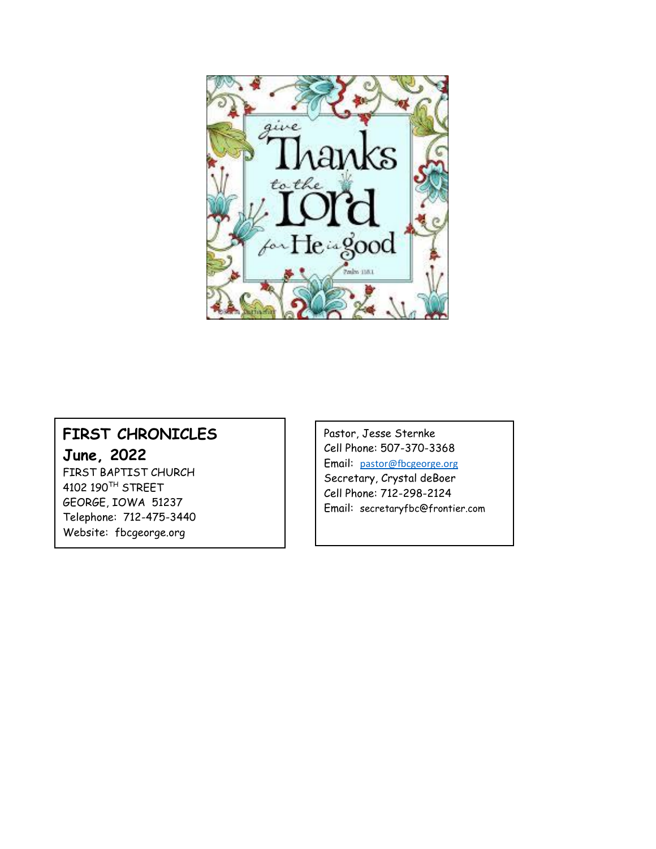

#### **FIRST CHRONICLES June, 2022**

FIRST BAPTIST CHURCH 4102 190TH STREET GEORGE, IOWA 51237 Telephone: 712-475-3440 Website: fbcgeorge.org

Pastor, Jesse Sternke Cell Phone: 507-370-3368 Email: [pastor@fbcgeorge.org](mailto:pastor@fbcgeorge.org) Secretary, Crystal deBoer Cell Phone: 712-298-2124 Email: secretaryfbc@frontier.com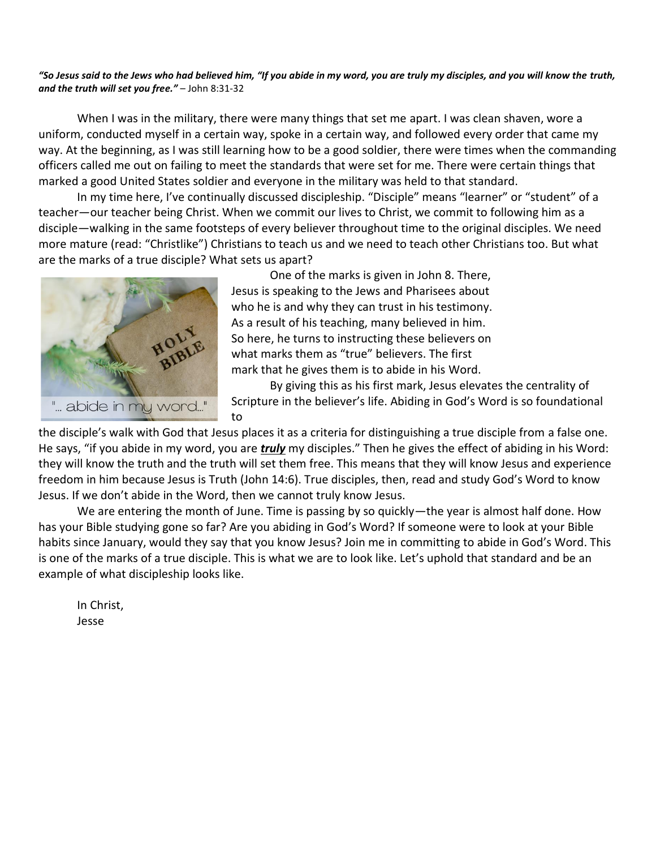#### *"So Jesus said to the Jews who had believed him, "If you abide in my word, you are truly my disciples, and you will know the truth, and the truth will set you free."* – John 8:31-32

When I was in the military, there were many things that set me apart. I was clean shaven, wore a uniform, conducted myself in a certain way, spoke in a certain way, and followed every order that came my way. At the beginning, as I was still learning how to be a good soldier, there were times when the commanding officers called me out on failing to meet the standards that were set for me. There were certain things that marked a good United States soldier and everyone in the military was held to that standard.

In my time here, I've continually discussed discipleship. "Disciple" means "learner" or "student" of a teacher—our teacher being Christ. When we commit our lives to Christ, we commit to following him as a disciple—walking in the same footsteps of every believer throughout time to the original disciples. We need more mature (read: "Christlike") Christians to teach us and we need to teach other Christians too. But what are the marks of a true disciple? What sets us apart?



One of the marks is given in John 8. There, Jesus is speaking to the Jews and Pharisees about who he is and why they can trust in his testimony. As a result of his teaching, many believed in him. So here, he turns to instructing these believers on what marks them as "true" believers. The first mark that he gives them is to abide in his Word.

By giving this as his first mark, Jesus elevates the centrality of Scripture in the believer's life. Abiding in God's Word is so foundational to

the disciple's walk with God that Jesus places it as a criteria for distinguishing a true disciple from a false one. He says, "if you abide in my word, you are *truly* my disciples." Then he gives the effect of abiding in his Word: they will know the truth and the truth will set them free. This means that they will know Jesus and experience freedom in him because Jesus is Truth (John 14:6). True disciples, then, read and study God's Word to know Jesus. If we don't abide in the Word, then we cannot truly know Jesus.

We are entering the month of June. Time is passing by so quickly—the year is almost half done. How has your Bible studying gone so far? Are you abiding in God's Word? If someone were to look at your Bible habits since January, would they say that you know Jesus? Join me in committing to abide in God's Word. This is one of the marks of a true disciple. This is what we are to look like. Let's uphold that standard and be an example of what discipleship looks like.

In Christ, Jesse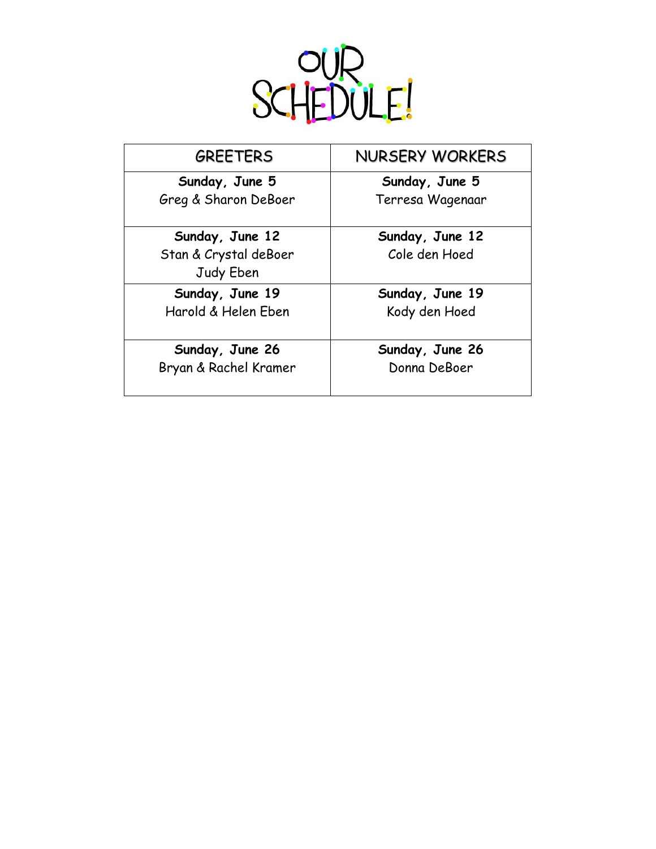

| <b>GREETERS</b>                                       | <b>NURSERY WORKERS</b>           |
|-------------------------------------------------------|----------------------------------|
| Sunday, June 5                                        | Sunday, June 5                   |
| Greg & Sharon DeBoer                                  | Terresa Wagenaar                 |
| Sunday, June 12<br>Stan & Crystal deBoer<br>Judy Eben | Sunday, June 12<br>Cole den Hoed |
| Sunday, June 19                                       | Sunday, June 19                  |
| Harold & Helen Eben                                   | Kody den Hoed                    |
| Sunday, June 26                                       | Sunday, June 26                  |
| Bryan & Rachel Kramer                                 | Donna DeBoer                     |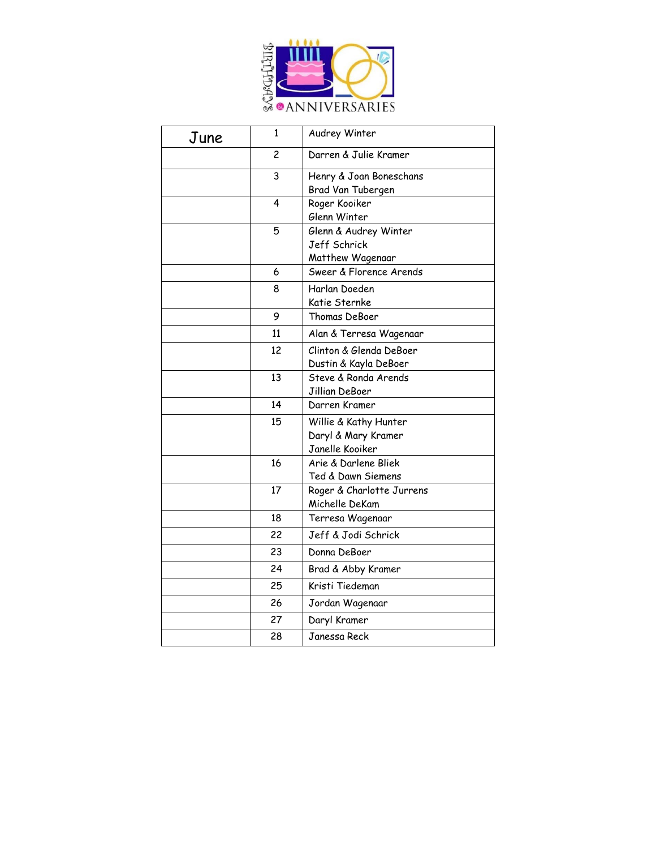

| June | 1  | Audrey Winter             |
|------|----|---------------------------|
|      | 2  | Darren & Julie Kramer     |
|      | 3  | Henry & Joan Boneschans   |
|      |    | Brad Van Tubergen         |
|      | 4  | Roger Kooiker             |
|      |    | Glenn Winter              |
|      | 5  | Glenn & Audrey Winter     |
|      |    | Jeff Schrick              |
|      |    | Matthew Wagenaar          |
|      | 6  | Sweer & Florence Arends   |
|      | 8  | Harlan Doeden             |
|      |    | Katie Sternke             |
|      | 9  | Thomas DeBoer             |
|      | 11 | Alan & Terresa Wagenaar   |
|      | 12 | Clinton & Glenda DeBoer   |
|      |    | Dustin & Kayla DeBoer     |
|      | 13 | Steve & Ronda Arends      |
|      |    | Jillian DeBoer            |
|      | 14 | Darren Kramer             |
|      | 15 | Willie & Kathy Hunter     |
|      |    | Daryl & Mary Kramer       |
|      |    | Janelle Kooiker           |
|      | 16 | Arie & Darlene Bliek      |
|      |    | Ted & Dawn Siemens        |
|      | 17 | Roger & Charlotte Jurrens |
|      |    | Michelle DeKam            |
|      | 18 | Terresa Wagenaar          |
|      | 22 | Jeff & Jodi Schrick       |
|      | 23 | Donna DeBoer              |
|      | 24 | Brad & Abby Kramer        |
|      | 25 | Kristi Tiedeman           |
|      | 26 | Jordan Wagenaar           |
|      | 27 | Daryl Kramer              |
|      | 28 | Janessa Reck              |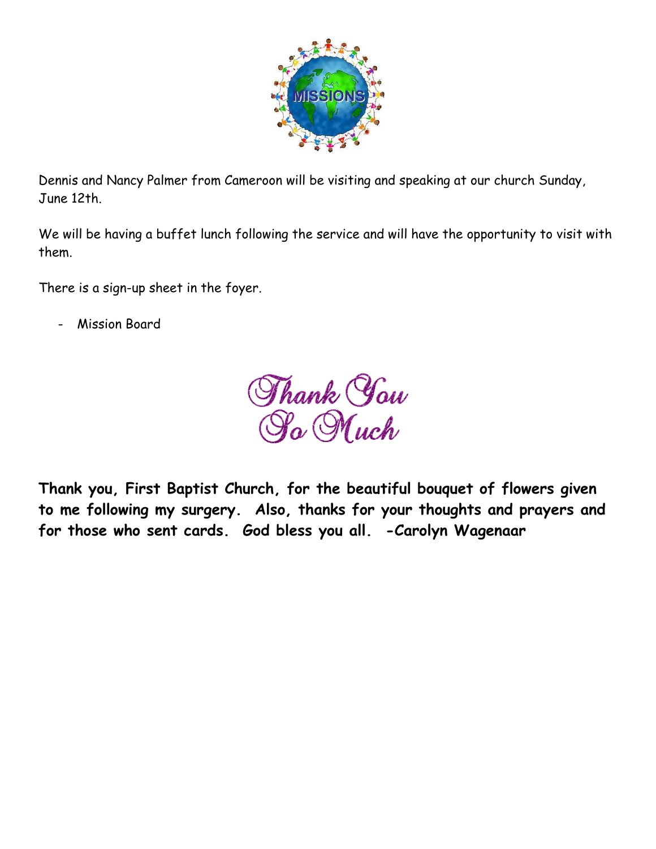

Dennis and Nancy Palmer from Cameroon will be visiting and speaking at our church Sunday, June 12th.

We will be having a buffet lunch following the service and will have the opportunity to visit with them.

There is a sign-up sheet in the foyer.

Mission Board

Thank *You*<br>Ra Much

**Thank you, First Baptist Church, for the beautiful bouquet of flowers given to me following my surgery. Also, thanks for your thoughts and prayers and for those who sent cards. God bless you all. -Carolyn Wagenaar**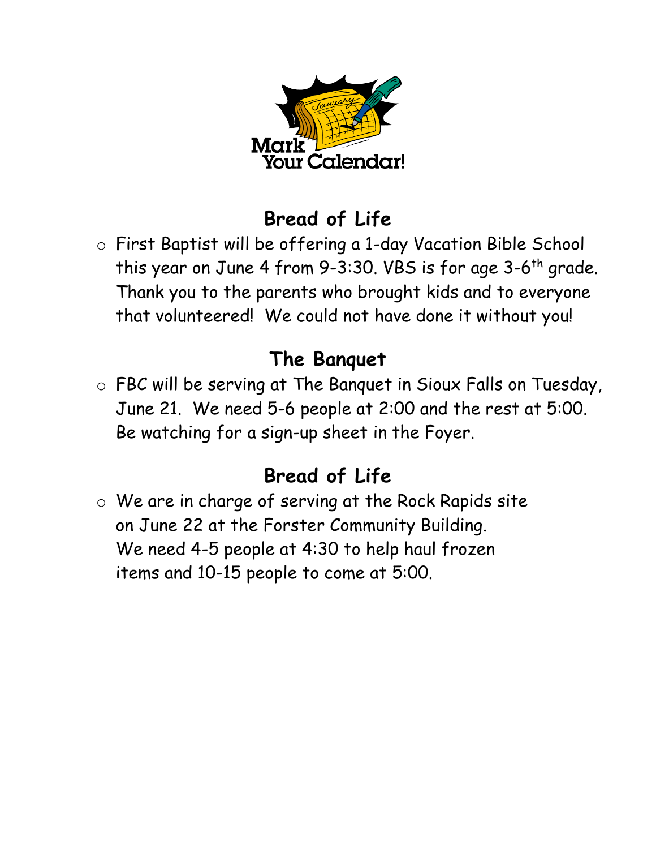

## **Bread of Life**

o First Baptist will be offering a 1-day Vacation Bible School this year on June 4 from 9-3:30. VBS is for age 3-6<sup>th</sup> grade. Thank you to the parents who brought kids and to everyone that volunteered! We could not have done it without you!

### **The Banquet**

o FBC will be serving at The Banquet in Sioux Falls on Tuesday, June 21. We need 5-6 people at 2:00 and the rest at 5:00. Be watching for a sign-up sheet in the Foyer.

# **Bread of Life**

o We are in charge of serving at the Rock Rapids site on June 22 at the Forster Community Building. We need 4-5 people at 4:30 to help haul frozen items and 10-15 people to come at 5:00.